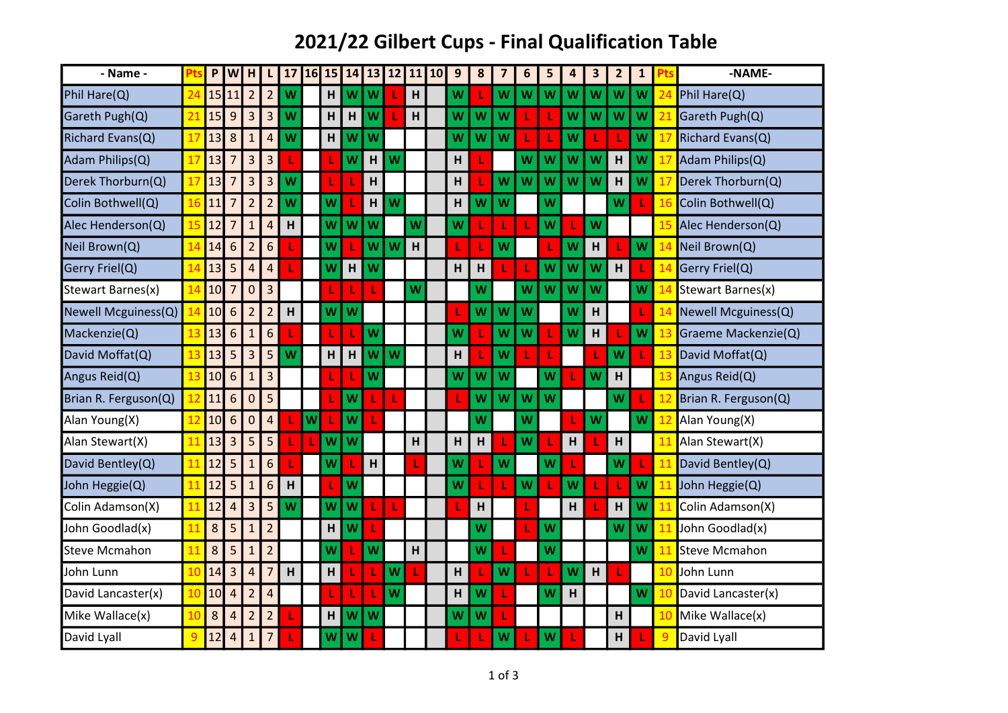## 2021/22 Gilbert Cups - Final Qualification Table

| - Name -             |              | P       | W              | H              | L              | 17           | 16 | 15 | 14           | 13 | 12 | 11 | 10 | 9 | 8 | $\overline{\mathbf{z}}$ | 6 | 5 | 4 | 3 | $\overline{2}$ | $\mathbf{1}$ |    | -NAME-               |
|----------------------|--------------|---------|----------------|----------------|----------------|--------------|----|----|--------------|----|----|----|----|---|---|-------------------------|---|---|---|---|----------------|--------------|----|----------------------|
| Phil Hare(Q)         | 24           |         | 15 11          | $\overline{2}$ | $\overline{2}$ | W            |    | H  | W            | W  |    | H  |    | W |   | W                       | W | W | W | W | W              | W            | 24 | Phil Hare(Q)         |
| Gareth Pugh(Q)       | っ            | 15      | 9              | 3              | 3              | W            |    | H  | H            | W  |    | H  |    | w | W | W                       |   |   | W | W | W              | w            | 21 | Gareth Pugh(Q)       |
| Richard Evans(Q)     | 17           | 13      | 8              | $\mathbf{1}$   | $\overline{4}$ | W            |    | н  | W            | W  |    |    |    | w | W | W                       |   |   | W | L |                | W            | 17 | Richard Evans(Q)     |
| Adam Philips(Q)      |              | 13      | 7              | 3              | 3              |              |    | ı  | W            | H  | W  |    |    | H |   |                         | W | w | W | W | H              | W            | 17 | Adam Philips(Q)      |
| Derek Thorburn(Q)    | 17           | 13      | 7              | 3              | 3              | W            |    |    |              | H  |    |    |    | H |   | W                       | W | W | W | W | H              | W            | 17 | Derek Thorburn(Q)    |
| Colin Bothwell(Q)    | 16           | 11      | 7              | $\overline{2}$ | $\overline{2}$ | W            |    | W  |              | H  | W  |    |    | н | W | W                       |   | W |   |   | W              |              | 16 | Colin Bothwell(Q)    |
| Alec Henderson(Q)    | 15           | 12      | 7              | $\mathbf{1}$   | $\overline{4}$ | $\mathsf{H}$ |    | W  | W            | W  |    | W  |    | W |   | L                       |   | W |   | W |                |              | 15 | Alec Henderson(Q)    |
| Neil Brown(Q)        |              | 14      | 6              | $\overline{2}$ | 6              |              |    | W  |              | W  | W  | H  |    |   |   | W                       |   |   | W | H |                | W            | 14 | Neil Brown(Q)        |
| Gerry Friel(Q)       | 14           | 13      | 5              | $\overline{4}$ | $\overline{4}$ |              |    | W  | H            | W  |    |    |    | H | н | L                       |   | W | W | W | H              |              | 14 | Gerry Friel(Q)       |
| Stewart Barnes(x)    | 14           | 10      | 7              | 0              | 3              |              |    |    |              |    |    | W  |    |   | W |                         | W | W | W | W |                | W            | 14 | Stewart Barnes(x)    |
| Newell Mcguiness(Q)  |              | 10      | 6              | $\overline{2}$ | $\overline{2}$ | $\mathsf{H}$ |    | W  | W            |    |    |    |    |   | W | W                       | W |   | W | H |                |              | 14 | Newell Mcguiness(Q)  |
| Mackenzie(Q)         |              | 13      | 6              | $\mathbf{1}$   | 6              |              |    |    |              | W  |    |    |    | w |   | W                       | W |   | W | H |                | W            | 13 | Graeme Mackenzie(Q)  |
| David Moffat(Q)      | 13           | 13      | 5              | 3              | 5              | W            |    | H  | $\mathsf{H}$ | W  | W  |    |    | H |   | W                       |   | ı |   | L | W              | ı            | 13 | David Moffat(Q)      |
| Angus Reid(Q)        | 13           | 10      | 6              | $\overline{1}$ | $\overline{3}$ |              |    |    |              | W  |    |    |    | W | W | W                       |   | W |   | W | H              |              | 13 | Angus Reid(Q)        |
| Brian R. Ferguson(Q) |              | 11      | 6              | $\mathbf 0$    | 5              |              |    |    | W            |    |    |    |    |   | W | W                       | W | W |   |   | W              |              | 12 | Brian R. Ferguson(Q) |
| Alan Young(X)        |              | 10      | 6              | $\mathbf 0$    | $\overline{a}$ |              | W  |    | W            |    |    |    |    |   | W |                         | W |   |   | W |                | W            | 12 | Alan Young(X)        |
| Alan Stewart(X)      |              | 13      | 3              | 5              | 5              |              | ı  | W  | W            |    |    | H  |    | H | H | ı                       | W |   | H | L | H              |              | 11 | Alan Stewart(X)      |
| David Bentley(Q)     | 11           | 12      | 5              | $\mathbf{1}$   | 6              |              |    | W  |              | H  |    |    |    | W |   | W                       |   | W |   |   | W              |              | 11 | David Bentley(Q)     |
| John Heggie(Q)       | 11           | 12      | 5              | $\mathbf{1}$   | 6              | н            |    |    | W            |    |    |    |    | W |   | ı                       | W |   | W | T |                | W            | 11 | John Heggie(Q)       |
| Colin Adamson(X)     | 11           | 12      | 4              | 3              | 5              | W            |    | W  | W            |    |    |    |    |   | H |                         |   |   | H | T | H              | W            | 11 | Colin Adamson(X)     |
| John Goodlad(x)      |              | 8       | 5              | $\mathbf{1}$   | $\overline{2}$ |              |    | н  | W            |    |    |    |    |   | W |                         |   | W |   |   | W              | W            | 11 | John Goodlad(x)      |
| <b>Steve Mcmahon</b> |              | 8       | 5              | $\mathbf{1}$   | $\overline{2}$ |              |    | W  |              | W  |    | H  |    |   | W | ı                       |   | W |   |   |                | W            | 11 | <b>Steve Mcmahon</b> |
| John Lunn            | 10           | 14      | 3              | $\overline{4}$ | 7              | H            |    | H  |              |    | W  |    |    | H |   | W                       |   |   | W | H |                |              | 10 | John Lunn            |
| David Lancaster(x)   | 10           | 10      | $\overline{4}$ | $\overline{c}$ | $\overline{4}$ |              |    | 1  |              |    | W  |    |    | н | W | ı                       |   | W | H |   |                | W            | 10 | David Lancaster(x)   |
| Mike Wallace(x)      | 10           | $\bf 8$ | Δ              | $\overline{2}$ | $\overline{c}$ |              |    | H  | W            | W  |    |    |    | W | W | ı                       |   |   |   |   | H              |              | 10 | Mike Wallace(x)      |
| David Lyall          | $\mathbf{q}$ | 12      | $\overline{4}$ | $\mathbf{1}$   | 7              |              |    | W  | W            |    |    |    |    |   |   | W                       |   | w |   |   | H              |              | 9  | David Lyall          |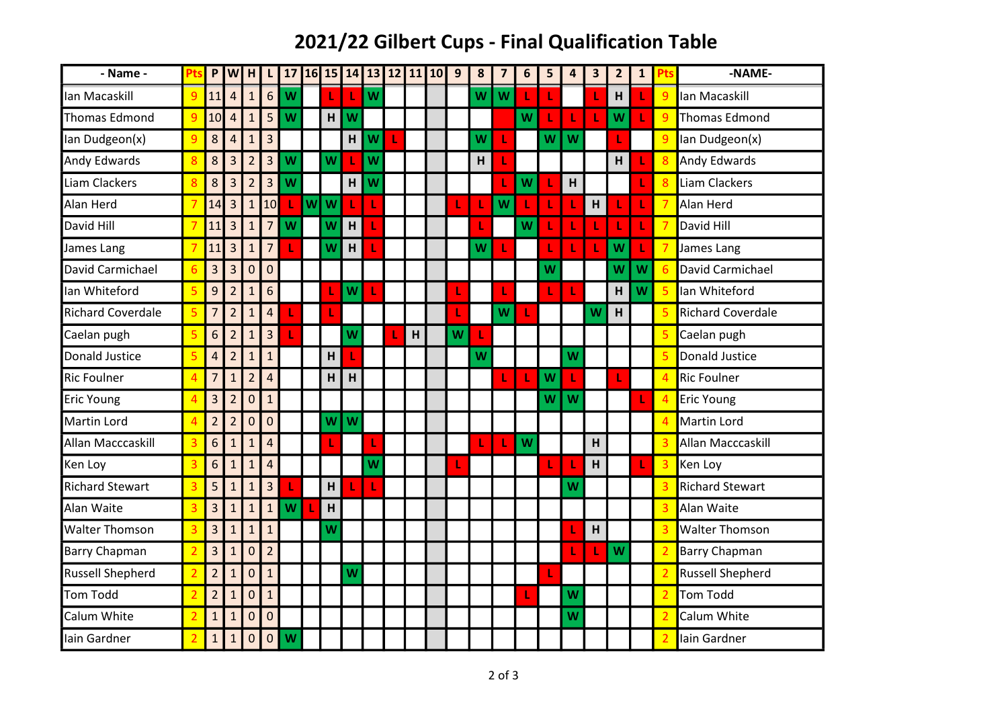## 2021/22 Gilbert Cups - Final Qualification Table

| - Name -                 | Pts            | P                       |                | WH               | $\mathsf{L}$            |   |    |                |   |   | 17 16 15 14 13 12 11 10 | 9 | $\pmb{8}$ | $\overline{\mathbf{z}}$ | 6 | 5 | 4 | $\overline{\mathbf{3}}$ | $\overline{2}$ | $\mathbf{1}$ | Pts                      | -NAME-                   |
|--------------------------|----------------|-------------------------|----------------|------------------|-------------------------|---|----|----------------|---|---|-------------------------|---|-----------|-------------------------|---|---|---|-------------------------|----------------|--------------|--------------------------|--------------------------|
| lan Macaskill            | $\overline{9}$ | 11                      | $\overline{a}$ | $\mathbf{1}$     | 6 <sup>1</sup>          | W | L  |                | W |   |                         |   | W         | W                       |   | L |   | L                       | H              | L            | 9                        | lan Macaskill            |
| Thomas Edmond            | 9              | 10                      | 4              | $\mathbf{1}$     | 5                       | W | H  | W              |   |   |                         |   |           |                         | W |   |   | L                       | W              |              | $\overline{9}$           | <b>Thomas Edmond</b>     |
| Ian Dudgeon(x)           | 9              | 8                       | $\overline{4}$ | $\mathbf{1}$     | $\overline{\mathbf{3}}$ |   |    | $\mathsf{H}$   | W |   |                         |   | W         | ı                       |   | W | W |                         |                |              | 9                        | Ian Dudgeon(x)           |
| Andy Edwards             | 8              | $\bf 8$                 | 3              | $\overline{2}$   | 3                       | W | W  |                | W |   |                         |   | Н         | 1                       |   |   |   |                         | H              |              | 8                        | <b>Andy Edwards</b>      |
| Liam Clackers            |                | 8                       | 3              | $\overline{2}$   | $\overline{3}$          | W |    | H              | W |   |                         |   |           | ı                       | W |   | H |                         |                | L            | 8                        | Liam Clackers            |
| Alan Herd                | $\overline{7}$ | 14                      | 3              | $\mathbf{1}$     | 10                      | т | ww | 1              | L |   |                         |   |           | W                       |   | L | L | H                       |                | L            | $\overline{7}$           | Alan Herd                |
| David Hill               |                | 11                      | 3              | $\mathbf{1}$     | $\overline{7}$          | W | W  | $\overline{H}$ |   |   |                         |   |           |                         | W | L |   | L                       |                | L            | $\overline{7}$           | David Hill               |
| James Lang               |                | 11                      | $\overline{3}$ | $\mathbf{1}$     | $\overline{7}$          | ı | W  | H              |   |   |                         |   | W         | ı                       |   | ı |   | L                       | W              | L            |                          | James Lang               |
| David Carmichael         | 6              | 3                       | 3              | $\mathbf 0$      | $\mathbf 0$             |   |    |                |   |   |                         |   |           |                         |   | W |   |                         | W              | W            | $6 \overline{6}$         | David Carmichael         |
| Ian Whiteford            | 5              | 9                       | $\overline{2}$ | $\mathbf{1}$     | $6\phantom{1}6$         |   |    | W              |   |   |                         |   |           | ı                       |   | L |   |                         | H              | W            | $\overline{5}$           | Ian Whiteford            |
| <b>Richard Coverdale</b> | 5              | $\overline{7}$          | $\overline{2}$ | $\mathbf{1}$     | $\overline{4}$          |   | ı  |                |   |   |                         |   |           | W                       |   |   |   | W                       | H              |              | $\overline{5}$           | <b>Richard Coverdale</b> |
| Caelan pugh              | 5              | 6                       | $\overline{2}$ | $\mathbf{1}$     | 3                       |   |    | W              |   | H |                         | W |           |                         |   |   |   |                         |                |              | 5                        | Caelan pugh              |
| Donald Justice           | 5              | $\overline{\mathbf{4}}$ | $\overline{2}$ | $\mathbf{1}$     | $\mathbf{1}$            |   | H  |                |   |   |                         |   | W         |                         |   |   | W |                         |                |              | 5                        | <b>Donald Justice</b>    |
| <b>Ric Foulner</b>       | 4              | $\overline{7}$          | $\mathbf{1}$   | $\overline{2}$   | $\overline{4}$          |   | H  | H              |   |   |                         |   |           | L                       |   | W |   |                         |                |              | $\overline{4}$           | <b>Ric Foulner</b>       |
| <b>Eric Young</b>        | 4              | 3                       | $\overline{2}$ | $\mathbf 0$      | $\mathbf{1}$            |   |    |                |   |   |                         |   |           |                         |   | W | W |                         |                |              | $\overline{4}$           | <b>Eric Young</b>        |
| Martin Lord              | 4              | $\overline{2}$          | $\overline{2}$ | $\mathbf 0$      | $\mathbf 0$             |   | W  | W              |   |   |                         |   |           |                         |   |   |   |                         |                |              |                          | <b>Martin Lord</b>       |
| Allan Macccaskill        | 3              | 6                       | $\mathbf{1}$   | $\mathbf{1}$     | $\overline{4}$          |   |    |                |   |   |                         |   |           | L                       | W |   |   | H                       |                |              | 3                        | Allan Macccaskill        |
| Ken Loy                  | 3              | 6                       | $\overline{1}$ | $\mathbf{1}$     | $\overline{4}$          |   |    |                | W |   |                         | L |           |                         |   | L |   | H                       |                | L            | 3                        | Ken Loy                  |
| <b>Richard Stewart</b>   | 3              | 5                       | $\mathbf{1}$   | $\mathbf{1}$     | 3                       |   | H  |                | ı |   |                         |   |           |                         |   |   | W |                         |                |              | 3                        | <b>Richard Stewart</b>   |
| Alan Waite               | 3              | 3                       | $\mathbf{1}$   | $\mathbf{1}$     | $\mathbf{1}$            | W | H  |                |   |   |                         |   |           |                         |   |   |   |                         |                |              | 3                        | Alan Waite               |
| <b>Walter Thomson</b>    | 3              | 3                       | $\mathbf{1}$   | $\mathbf{1}$     | $\mathbf{1}$            |   | W  |                |   |   |                         |   |           |                         |   |   |   | H                       |                |              | 3                        | <b>Walter Thomson</b>    |
| Barry Chapman            | $\overline{2}$ | 3                       | $\mathbf{1}$   | $\mathbf 0$      | $\overline{2}$          |   |    |                |   |   |                         |   |           |                         |   |   | L | L                       | W              |              | $\overline{2}$           | <b>Barry Chapman</b>     |
| <b>Russell Shepherd</b>  | $\overline{2}$ | $\overline{2}$          | $\mathbf{1}$   | $\mathbf 0$      | $\mathbf{1}$            |   |    | W              |   |   |                         |   |           |                         |   |   |   |                         |                |              | $\overline{2}$           | <b>Russell Shepherd</b>  |
| <b>Tom Todd</b>          |                | $\overline{2}$          | $\mathbf{1}$   | $\mathbf 0$      | $\mathbf{1}$            |   |    |                |   |   |                         |   |           |                         |   |   | W |                         |                |              | $\overline{2}$           | <b>Tom Todd</b>          |
| Calum White              |                | $\mathbf{1}$            | $\mathbf{1}$   | $\mathbf 0$      | $\mathbf 0$             |   |    |                |   |   |                         |   |           |                         |   |   | W |                         |                |              | $\overline{\mathcal{L}}$ | Calum White              |
| lain Gardner             |                | $\mathbf{1}$            | $\mathbf{1}$   | $\boldsymbol{0}$ | $\mathbf 0$             | W |    |                |   |   |                         |   |           |                         |   |   |   |                         |                |              | $\overline{2}$           | Iain Gardner             |